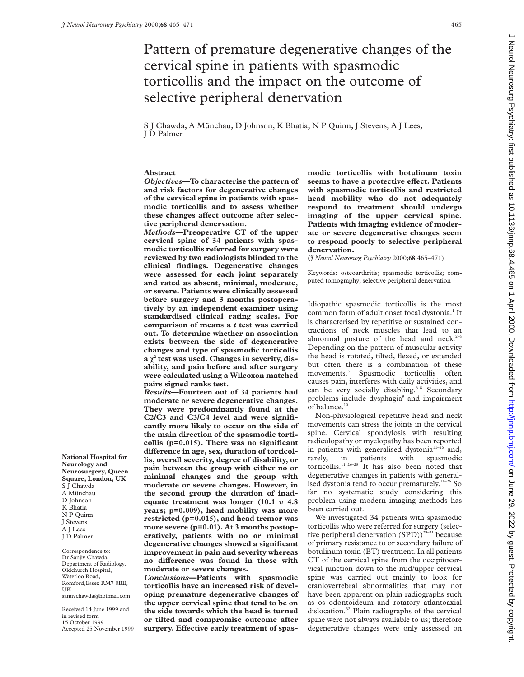# Pattern of premature degenerative changes of the cervical spine in patients with spasmodic torticollis and the impact on the outcome of selective peripheral denervation

S J Chawda, A Münchau, D Johnson, K Bhatia, N P Quinn, J Stevens, A J Lees, J D Palmer

## **Abstract**

*Objectives***—To characterise the pattern of and risk factors for degenerative changes of the cervical spine in patients with spasmodic torticollis and to assess whether** these changes affect outcome after selec**tive peripheral denervation.**

*Methods***—Preoperative CT of the upper cervical spine of 34 patients with spasmodic torticollis referred for surgery were reviewed by two radiologists blinded to the clinical findings. Degenerative changes were assessed for each joint separately and rated as absent, minimal, moderate, or severe. Patients were clinically assessed before surgery and 3 months postoperatively by an independent examiner using standardised clinical rating scales. For comparison of means a** *t* **test was carried out. To determine whether an association exists between the side of degenerative changes and type of spasmodic torticollis**  $a \gamma^2$  test was used. Changes in severity, dis**ability, and pain before and after surgery were calculated using a Wilcoxon matched pairs signed ranks test.**

*Results***—Fourteen out of 34 patients had moderate or severe degenerative changes. They were predominantly found at the C2/C3 and C3/C4 level and were significantly more likely to occur on the side of the main direction of the spasmodic torticollis (p=0.015). There was no significant** difference in age, sex, duration of torticol**lis, overall severity, degree of disability, or pain between the group with either no or minimal changes and the group with moderate or severe changes. However, in the second group the duration of inadequate treatment was longer (10.1** *v* **4.8 years; p=0.009), head mobility was more restricted (p=0.015), and head tremor was more severe (p=0.01). At 3 months postoperatively, patients with no or minimal degenerative changes showed a significant improvement in pain and severity whereas no diVerence was found in those with moderate or severe changes.**

*Conclusions***—Patients with spasmodic torticollis have an increased risk of developing premature degenerative changes of the upper cervical spine that tend to be on the side towards which the head is turned or tilted and compromise outcome after** surgery. Effective early treatment of spas**modic torticollis with botulinum toxin** seems to have a protective effect. Patients **with spasmodic torticollis and restricted head mobility who do not adequately respond to treatment should undergo imaging of the upper cervical spine. Patients with imaging evidence of moderate or severe degenerative changes seem to respond poorly to selective peripheral denervation.**

(*J Neurol Neurosurg Psychiatry* 2000;**68**:465–471)

Keywords: osteoarthritis; spasmodic torticollis; computed tomography; selective peripheral denervation

Idiopathic spasmodic torticollis is the most common form of adult onset focal dystonia.<sup>1</sup> It is characterised by repetitive or sustained contractions of neck muscles that lead to an abnormal posture of the head and neck. $2-4$ Depending on the pattern of muscular activity the head is rotated, tilted, flexed, or extended but often there is a combination of these movements.5 Spasmodic torticollis often causes pain, interferes with daily activities, and can be very socially disabling.<sup>6-8</sup> Secondary problems include dysphagia<sup>9</sup> and impairment of balance.<sup>10</sup>

Non-physiological repetitive head and neck movements can stress the joints in the cervical spine. Cervical spondylosis with resulting radiculopathy or myelopathy has been reported in patients with generalised dystonia $11-26$  and, rarely, in patients with spasmodic torticollis.<sup>11 26-28</sup> It has also been noted that degenerative changes in patients with generalised dystonia tend to occur prematurely.<sup>11-26</sup> So far no systematic study considering this problem using modern imaging methods has been carried out.

We investigated 34 patients with spasmodic torticollis who were referred for surgery (selective peripheral denervation  $(SPD)$ <sup>29-31</sup> because of primary resistance to or secondary failure of botulinum toxin (BT) treatment. In all patients CT of the cervical spine from the occipitocervical junction down to the mid/upper cervical spine was carried out mainly to look for craniovertebral abnormalities that may not have been apparent on plain radiographs such as os odontoideum and rotatory atlantoaxial dislocation.32 Plain radiographs of the cervical spine were not always available to us; therefore degenerative changes were only assessed on

**National Hospital for Neurology and Neurosurgery, Queen Square, London, UK** S J Chawda A Münchau D Johnson K Bhatia N P Quinn J Stevens A J Lees J D Palmer

Correspondence to: Dr Sanjiv Chawda, Department of Radiology, Oldchurch Hospital, Waterloo Road, Romford,Essex RM7 0BE, UK sanjivchawda@hotmail.com

Received 14 June 1999 and in revised form 15 October 1999 Accepted 25 November 1999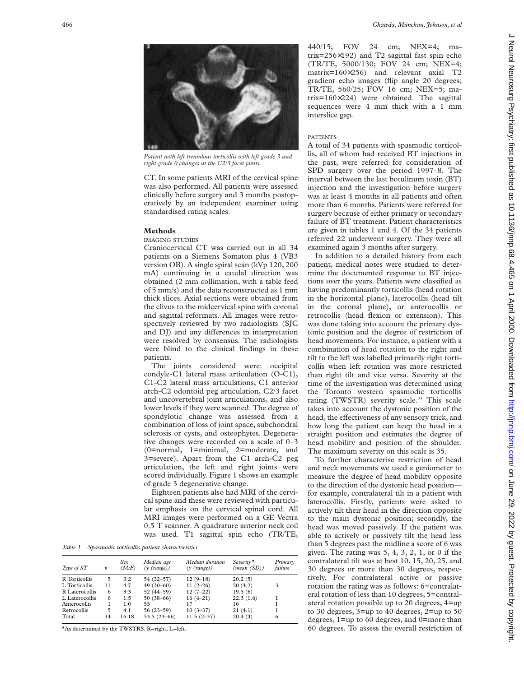

*Patient with left tremulous torticollis with left grade 3 and right grade 0 changes at the C2/3 facet joints.*

CT. In some patients MRI of the cervical spine was also performed. All patients were assessed clinically before surgery and 3 months postoperatively by an independent examiner using standardised rating scales.

#### **Methods**

IMAGING STUDIES

Craniocervical CT was carried out in all 34 patients on a Siemens Somaton plus 4 (VB3 version OB). A single spiral scan (kVp 120, 200 mA) continuing in a caudal direction was obtained (2 mm collimation, with a table feed of 5 mm/s) and the data reconstructed as 1 mm thick slices. Axial sections were obtained from the clivus to the midcervical spine with coronal and sagittal reformats. All images were retrospectively reviewed by two radiologists (SJC and DJ) and any differences in interpretation were resolved by consensus. The radiologists were blind to the clinical findings in these patients.

The joints considered were: occipital condyle-C1 lateral mass articulation (O-C1), C1-C2 lateral mass articulations, C1 anterior arch-C2 odontoid peg articulation, C2/3 facet and uncovertebral joint articulations, and also lower levels if they were scanned. The degree of spondylotic change was assessed from a combination of loss of joint space, subchondral sclerosis or cysts, and osteophytes. Degenerative changes were recorded on a scale of 0–3 (0=normal, 1=minimal, 2=moderate, and 3=severe). Apart from the C1 arch-C2 peg articulation, the left and right joints were scored individually. Figure 1 shows an example of grade 3 degenerative change.

Eighteen patients also had MRI of the cervical spine and these were reviewed with particular emphasis on the cervical spinal cord. All MRI images were performed on a GE Vectra 0.5 T scanner. A quadrature anterior neck coil was used. T1 sagittal spin echo (TR/TE,

*Table 1 Spasmodic torticollis patient characteristics*

| Type of ST     | $\boldsymbol{n}$ | Sex<br>(M.F) | Median age<br>$(v \text{ (range)})$ | Median duration<br>$(y \text{ (range)})$ | Severity <sup>*</sup><br>(mean(SD)) | Primary<br>failure |
|----------------|------------------|--------------|-------------------------------------|------------------------------------------|-------------------------------------|--------------------|
| R Torticollis  | 5                | 3:2          | 54 (32-57)                          | $12(9-18)$                               | 20.2(5)                             |                    |
| L. Torticollis | 11               | 4:7          | $49(30-60)$                         | $11(2-26)$                               | 20(4.2)                             | 3                  |
| R Laterocollis | 6                | 3:3          | 52 (44-59)                          | $12(7-22)$                               | 19.5(6)                             |                    |
| L Laterocollis | 6                | 1:5          | $50(38-66)$                         | $16(4-21)$                               | 22.3(1.6)                           |                    |
| Anterocollis   |                  | 1:0          | 53                                  | 17                                       | 16                                  |                    |
| Retrocollis    | 5                | 4:1          | $56(23-59)$                         | $10(3-37)$                               | 21(4.1)                             |                    |
| Total          | 34               | 16:18        | $53.5(23-66)$                       | $11.5(2-37)$                             | 20.4(4)                             | 6                  |
|                |                  |              |                                     |                                          |                                     |                    |

\*As determined by the TWSTRS. R=right, L=left.

440/15; FOV 24 cm; NEX=4; matrix=256×192) and T2 sagittal fast spin echo (TR/TE, 5000/130; FOV 24 cm; NEX=4; matrix=160×256) and relevant axial T2 gradient echo images (flip angle 20 degrees; TR/TE, 560/25; FOV 16 cm; NEX=5; matrix=160×224) were obtained. The sagittal sequences were 4 mm thick with a 1 mm interslice gap.

#### PATIENTS

A total of 34 patients with spasmodic torticollis, all of whom had received BT injections in the past, were referred for consideration of SPD surgery over the period 1997–8. The interval between the last botulinum toxin (BT) injection and the investigation before surgery was at least 4 months in all patients and often more than 6 months. Patients were referred for surgery because of either primary or secondary failure of BT treatment. Patient characteristics are given in tables 1 and 4. Of the 34 patients referred 22 underwent surgery. They were all examined again 3 months after surgery.

In addition to a detailed history from each patient, medical notes were studied to determine the documented response to BT injections over the years. Patients were classified as having predominantly torticollis (head rotation in the horizontal plane), laterocollis (head tilt in the coronal plane), or anterocollis or retrocollis (head flexion or extension). This was done taking into account the primary dystonic position and the degree of restriction of head movements. For instance, a patient with a combination of head rotation to the right and tilt to the left was labelled primarily right torticollis when left rotation was more restricted than right tilt and vice versa. Severity at the time of the investigation was determined using the Toronto western spasmodic torticollis rating (TWSTR) severity scale.<sup>33</sup> This scale takes into account the dystonic position of the head, the effectiveness of any sensory trick, and how long the patient can keep the head in a straight position and estimates the degree of head mobility and position of the shoulder. The maximum severity on this scale is 35.

To further characterise restriction of head and neck movements we used a geniometer to measure the degree of head mobility opposite to the direction of the dystonic head position for example, contralateral tilt in a patient with laterocollis. Firstly, patients were asked to actively tilt their head in the direction opposite to the main dystonic position; secondly, the head was moved passively. If the patient was able to actively or passively tilt the head less than 5 degrees past the midline a score of 6 was given. The rating was  $5, 4, 3, 2, 1$ , or 0 if the contralateral tilt was at best 10, 15, 20, 25, and 30 degrees or more than 30 degrees, respectively. For contralateral active or passive rotation the rating was as follows: 6=contralateral rotation of less than 10 degrees, 5=contralateral rotation possible up to 20 degrees, 4=up to 30 degrees, 3=up to 40 degrees, 2=up to 50 degrees, 1=up to 60 degrees, and 0=more than 60 degrees. To assess the overall restriction of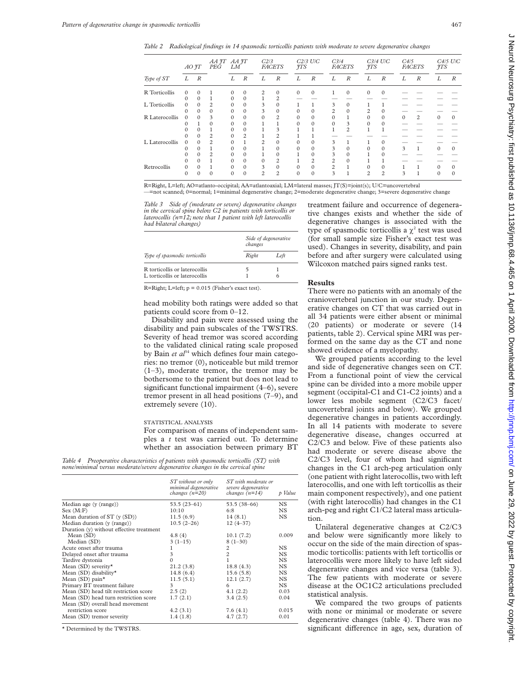*Table 2 Radiological findings in 14 spasmodic torticollis patients with moderate to severe degenerative changes*

| $AO$ $\tilde{f}T$                      |          |          | PEG            | AA JT AA JT<br>LM |                  | C <sub>2/3</sub><br><b>FACETS</b> |                  | $C2/3$ U/C<br><b>ITS</b> |                  | C <sub>3/4</sub><br><b>FACETS</b> |                  | $C3/4$ U/C<br>$\gamma_{TS}$ |                  | C4/5<br><b>FACETS</b> |                  | $C4/5$ $U/C$<br>$\mathcal{T}TS$ |                  |
|----------------------------------------|----------|----------|----------------|-------------------|------------------|-----------------------------------|------------------|--------------------------|------------------|-----------------------------------|------------------|-----------------------------|------------------|-----------------------|------------------|---------------------------------|------------------|
| Type of ST                             | L        | R        |                | L                 | $\boldsymbol{R}$ | L                                 | $\boldsymbol{R}$ | L                        | $\boldsymbol{R}$ | L                                 | $\boldsymbol{R}$ | L                           | $\boldsymbol{R}$ | L                     | $\boldsymbol{R}$ | L                               | $\boldsymbol{R}$ |
| R Torticollis<br>$\Omega$<br>0         |          | $\Omega$ |                | $\Omega$          | $\Omega$         | 2                                 | $\Omega$         | $\Omega$                 | $\Omega$         |                                   | $\mathbf{0}$     | $\Omega$                    | $\Omega$         |                       |                  |                                 |                  |
|                                        | 0        |          | $\Omega$       | $\Omega$          |                  |                                   |                  |                          |                  |                                   |                  |                             |                  |                       |                  |                                 |                  |
| L Torticollis<br>$\Omega$<br>$\Omega$  |          | 2        | $\Omega$       | $\Omega$          | 3                | $\Omega$                          |                  |                          | 3                | $\Omega$                          |                  |                             |                  |                       |                  |                                 |                  |
|                                        |          | 0        |                | $\Omega$          | 3                | 0                                 |                  |                          |                  | 0                                 |                  |                             |                  |                       |                  |                                 |                  |
| R Laterocollis<br>$\Omega$<br>$\Omega$ |          | 3        | 0              | 0                 |                  | 2                                 | 0                | 0                        |                  |                                   |                  | $\Omega$                    | $\Omega$         | 2                     | 0                | $\Omega$                        |                  |
|                                        |          |          |                | 0                 | 0                |                                   |                  |                          |                  | $\Omega$                          | 3                |                             |                  |                       |                  |                                 |                  |
|                                        |          |          |                | 0                 | 0                |                                   | 3                |                          |                  |                                   | 2                |                             |                  |                       |                  |                                 |                  |
|                                        |          | 2        |                | 2                 |                  |                                   |                  |                          |                  |                                   |                  |                             |                  |                       |                  |                                 |                  |
| L Laterocollis                         | $\Omega$ | $\Omega$ | $\overline{c}$ | $\Omega$          |                  | $\overline{c}$                    |                  | $\Omega$                 | 0                | 3                                 |                  |                             | $\Omega$         |                       |                  |                                 |                  |
|                                        |          |          |                |                   | $\Omega$         |                                   | 0                | $\Omega$                 | 0                | 3                                 | $\Omega$         |                             | $\mathbf{0}$     | 3                     | 1                | $\Omega$                        | $\Omega$         |
|                                        |          |          |                | 0                 | $\Omega$         |                                   | 0                |                          | 0                | 3                                 | $\Omega$         |                             | $\Omega$         |                       |                  |                                 |                  |
|                                        |          |          | 0              | $\Omega$          | 0                | 2                                 |                  | 2                        | 2                | $\Omega$                          |                  |                             |                  |                       |                  |                                 |                  |
| Retrocollis                            | 0        | $\Omega$ |                | $\Omega$          | $\Omega$         | 3                                 | $\Omega$         |                          |                  |                                   |                  |                             | $\Omega$         |                       |                  |                                 | $\Omega$         |
|                                        |          |          | 0              |                   | $\Omega$         | $\overline{c}$                    | $\overline{c}$   | 0                        | 0                | 3                                 |                  |                             | $\overline{c}$   |                       |                  | 0                               |                  |

R=Right, L=left; AO=atlanto-occipital; AA=atlantoaxial; LM=lateral masses; JT(S)=joint(s); U/C=uncovertebral —=not scanned; 0=normal; 1=minimal degenerative change; 2=moderate degenerative change; 3=severe degenerative change

*Table 3 Side of (moderate or severe) degenerative changes in the cervical spine below C2 in patients with torticollis or laterocollis (n=12; note that 1 patient with left laterocollis had bilateral changes)*

|                               | Side of degenerative<br>changes |      |  |  |  |
|-------------------------------|---------------------------------|------|--|--|--|
| Type of spasmodic torticollis | Right                           | Left |  |  |  |
| R torticollis or laterocollis | 5                               |      |  |  |  |
| L torticollis or laterocollis |                                 |      |  |  |  |

R=Right; L=left; p = 0.015 (Fisher's exact test).

head mobility both ratings were added so that patients could score from 0–12.

Disability and pain were assessed using the disability and pain subscales of the TWSTRS. Severity of head tremor was scored according to the validated clinical rating scale proposed by Bain *et al*<sup>34</sup> which defines four main categories: no tremor (0), noticeable but mild tremor (1–3), moderate tremor, the tremor may be bothersome to the patient but does not lead to significant functional impairment (4–6), severe tremor present in all head positions (7–9), and extremely severe (10).

#### STATISTICAL ANALYSIS

For comparison of means of independent samples a *t* test was carried out. To determine whether an association between primary BT

*Table 4 Preoperative characteristics of patients with spasmodic torticollis (ST) with none/minimal versus moderate/severe degenerative changes in the cervical spine*

|                                          | ST without or only<br>minimal degenerative<br>changes $(n=20)$ | ST with moderate or<br>severe degenerative<br>changes $(n=14)$ | p Value   |
|------------------------------------------|----------------------------------------------------------------|----------------------------------------------------------------|-----------|
| Median age (y (range))                   | $53.5(23-61)$                                                  | $53.5(38-66)$                                                  | NS.       |
| Sex (M: F)                               | 10:10                                                          | 6:8                                                            | <b>NS</b> |
| Mean duration of $ST$ (y $(SD)$ )        | 11.5(6.9)                                                      | 14(8.1)                                                        | <b>NS</b> |
| Median duration (y (range))              | $10.5(2-26)$                                                   | $12(4-37)$                                                     |           |
| Duration (y) without effective treatment |                                                                |                                                                |           |
| Mean(SD)                                 | 4.8(4)                                                         | 10.1(7.2)                                                      | 0.009     |
| Median (SD)                              | $3(1-15)$                                                      | $8(1-30)$                                                      |           |
| Acute onset after trauma                 | 1                                                              | 2                                                              | <b>NS</b> |
| Delayed onset after trauma               | 3                                                              | $\overline{c}$                                                 | <b>NS</b> |
| Tardive dystonia                         | $\Omega$                                                       | 1                                                              | <b>NS</b> |
| Mean (SD) severity*                      | 21.2(3.8)                                                      | 18.8(4.3)                                                      | <b>NS</b> |
| Mean (SD) disability*                    | 14.8(6.4)                                                      | 15.6(5.8)                                                      | <b>NS</b> |
| Mean (SD) pain*                          | 11.5(5.1)                                                      | 12.1(2.7)                                                      | <b>NS</b> |
| Primary BT treatment failure             | 3                                                              | 6                                                              | <b>NS</b> |
| Mean (SD) head tilt restriction score    | 2.5(2)                                                         | 4.1(2.2)                                                       | 0.03      |
| Mean (SD) head turn restriction score    | 1.7(2.1)                                                       | 3.4(2.5)                                                       | 0.04      |
| Mean (SD) overall head movement          |                                                                |                                                                |           |
| restriction score                        | 4.2(3.1)                                                       | 7.6(4.1)                                                       | 0.015     |
| Mean (SD) tremor severity                | 1.4(1.8)                                                       | 4.7(2.7)                                                       | 0.01      |

\* Determined by the TWSTRS.

treatment failure and occurrence of degenerative changes exists and whether the side of degenerative changes is associated with the type of spasmodic torticollis a  $\chi^2$  test was used (for small sample size Fisher's exact test was used). Changes in severity, disability, and pain before and after surgery were calculated using Wilcoxon matched pairs signed ranks test.

### **Results**

There were no patients with an anomaly of the craniovertebral junction in our study. Degenerative changes on CT that was carried out in all 34 patients were either absent or minimal (20 patients) or moderate or severe (14 patients, table 2). Cervical spine MRI was performed on the same day as the CT and none showed evidence of a myelopathy.

We grouped patients according to the level and side of degenerative changes seen on CT. From a functional point of view the cervical spine can be divided into a more mobile upper segment (occipital-C1 and C1-C2 joints) and a lower less mobile segment (C2/C3 facet/ uncovertebral joints and below). We grouped degenerative changes in patients accordingly. In all 14 patients with moderate to severe degenerative disease, changes occurred at C2/C3 and below. Five of these patients also had moderate or severe disease above the C2/C3 level, four of whom had significant changes in the C1 arch-peg articulation only (one patient with right laterocollis, two with left laterocollis, and one with left torticollis as their main component respectively), and one patient (with right laterocollis) had changes in the C1 arch-peg and right C1/C2 lateral mass articulation.

Unilateral degenerative changes at C2/C3 and below were significantly more likely to occur on the side of the main direction of spasmodic torticollis: patients with left torticollis or laterocollis were more likely to have left sided degenerative changes and vice versa (table 3). The few patients with moderate or severe disease at the OC1C2 articulations precluded statistical analysis.

We compared the two groups of patients with none or minimal or moderate or severe degenerative changes (table 4). There was no significant difference in age, sex, duration of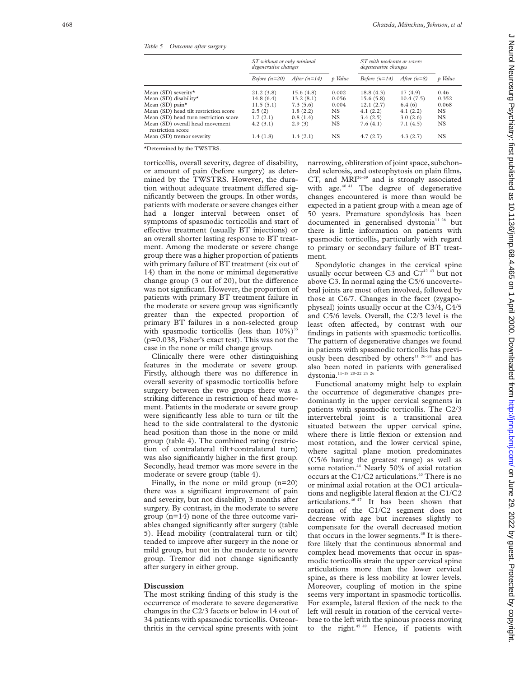*Table 5 Outcome after surgery*

|                                                      | ST without or only minimal<br>degenerative changes |                | p Value   | ST with moderate or severe<br>degenerative changes |               |           |
|------------------------------------------------------|----------------------------------------------------|----------------|-----------|----------------------------------------------------|---------------|-----------|
|                                                      | Before $(n=20)$                                    | After $(n=14)$ |           | Before $(n=14)$                                    | After $(n=8)$ | p Value   |
| Mean (SD) severity*                                  | 21.2(3.8)                                          | 15.6(4.8)      | 0.002     | 18.8(4.3)                                          | 17(4.9)       | 0.46      |
| Mean (SD) disability*                                | 14.8(6.4)                                          | 13.2(8.1)      | 0.056     | 15.6(5.8)                                          | 10.4(7.5)     | 0.352     |
| Mean (SD) pain*                                      | 11.5(5.1)                                          | 7.3(5.6)       | 0.004     | 12.1(2.7)                                          | 6.4(6)        | 0.068     |
| Mean (SD) head tilt restriction score                | 2.5(2)                                             | 1.8(2.2)       | NS.       | 4.1(2.2)                                           | 4.1(2.2)      | NS.       |
| Mean (SD) head turn restriction score                | 1.7(2.1)                                           | 0.8(1.4)       | NS.       | 3.4(2.5)                                           | 3.0(2.6)      | <b>NS</b> |
| Mean (SD) overall head movement<br>restriction score | 4.2(3.1)                                           | 2.9(3)         | NS        | 7.6(4.1)                                           | 7.1(4.5)      | <b>NS</b> |
| Mean (SD) tremor severity                            | 1.4(1.8)                                           | 1.4(2.1)       | <b>NS</b> | 4.7(2.7)                                           | 4.3(2.7)      | NS.       |

\*Determined by the TWSTRS.

torticollis, overall severity, degree of disability, or amount of pain (before surgery) as determined by the TWSTRS. However, the duration without adequate treatment differed significantly between the groups. In other words, patients with moderate or severe changes either had a longer interval between onset of symptoms of spasmodic torticollis and start of effective treatment (usually BT injections) or an overall shorter lasting response to BT treatment. Among the moderate or severe change group there was a higher proportion of patients with primary failure of BT treatment (six out of 14) than in the none or minimal degenerative change group (3 out of 20), but the difference was not significant. However, the proportion of patients with primary BT treatment failure in the moderate or severe group was significantly greater than the expected proportion of primary BT failures in a non-selected group with spasmodic torticollis (less than  $10\%$ )<sup>35</sup> (p=0.038, Fisher's exact test). This was not the case in the none or mild change group.

Clinically there were other distinguishing features in the moderate or severe group. Firstly, although there was no difference in overall severity of spasmodic torticollis before surgery between the two groups there was a striking difference in restriction of head movement. Patients in the moderate or severe group were significantly less able to turn or tilt the head to the side contralateral to the dystonic head position than those in the none or mild group (table 4). The combined rating (restriction of contralateral tilt+contralateral turn) was also significantly higher in the first group. Secondly, head tremor was more severe in the moderate or severe group (table 4).

Finally, in the none or mild group (n=20) there was a significant improvement of pain and severity, but not disability, 3 months after surgery. By contrast, in the moderate to severe group (n=14) none of the three outcome variables changed significantly after surgery (table 5). Head mobility (contralateral turn or tilt) tended to improve after surgery in the none or mild group, but not in the moderate to severe group. Tremor did not change significantly after surgery in either group.

#### **Discussion**

The most striking finding of this study is the occurrence of moderate to severe degenerative changes in the C2/3 facets or below in 14 out of 34 patients with spasmodic torticollis. Osteoarthritis in the cervical spine presents with joint

narrowing, obliteration of joint space, subchondral sclerosis, and osteophytosis on plain films, CT, and  $MRI<sup>36-39</sup>$  and is strongly associated with age.<sup>40 41</sup> The degree of degenerative changes encountered is more than would be expected in a patient group with a mean age of 50 years. Premature spondylosis has been documented in generalised dystonia<sup>11-26</sup> but there is little information on patients with spasmodic torticollis, particularly with regard to primary or secondary failure of BT treatment.

Spondylotic changes in the cervical spine usually occur between C3 and C7<sup>42 43</sup> but not above C3. In normal aging the C5/6 uncovertebral joints are most often involved, followed by those at C6/7. Changes in the facet (zygapophyseal) joints usually occur at the C3/4, C4/5 and C5/6 levels. Overall, the C2/3 level is the least often affected, by contrast with our findings in patients with spasmodic torticollis. The pattern of degenerative changes we found in patients with spasmodic torticollis has previously been described by others<sup>11 26-28</sup> and has also been noted in patients with generalised dystonia.<sup>11-18</sup> <sup>20-22</sup> <sup>24</sup> <sup>26</sup>

Functional anatomy might help to explain the occurrence of degenerative changes predominantly in the upper cervical segments in patients with spasmodic torticollis. The C2/3 intervertebral joint is a transitional area situated between the upper cervical spine, where there is little flexion or extension and most rotation, and the lower cervical spine, where sagittal plane motion predominates (C5/6 having the greatest range) as well as some rotation.<sup>44</sup> Nearly 50% of axial rotation occurs at the C1/C2 articulations.<sup>45</sup> There is no or minimal axial rotation at the OC1 articulations and negligible lateral flexion at the C1/C2 articulations.46 47 It has been shown that rotation of the C1/C2 segment does not decrease with age but increases slightly to compensate for the overall decreased motion that occurs in the lower segments.<sup>48</sup> It is therefore likely that the continuous abnormal and complex head movements that occur in spasmodic torticollis strain the upper cervical spine articulations more than the lower cervical spine, as there is less mobility at lower levels. Moreover, coupling of motion in the spine seems very important in spasmodic torticollis. For example, lateral flexion of the neck to the left will result in rotation of the cervical vertebrae to the left with the spinous process moving to the right.<sup>45 49</sup> Hence, if patients with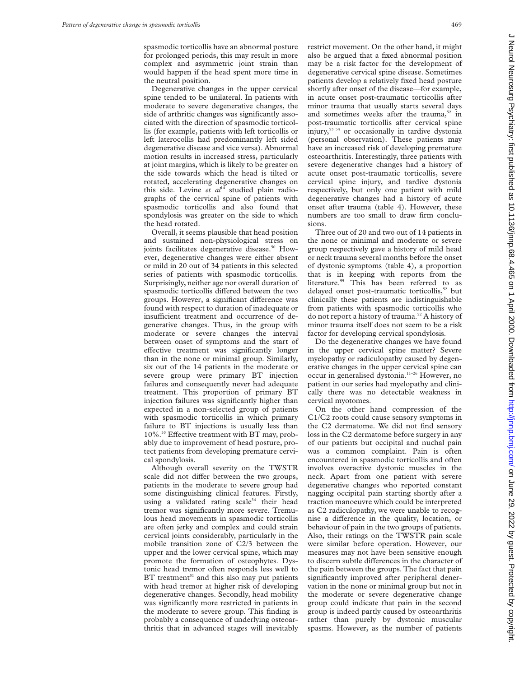spasmodic torticollis have an abnormal posture for prolonged periods, this may result in more complex and asymmetric joint strain than would happen if the head spent more time in the neutral position.

Degenerative changes in the upper cervical spine tended to be unilateral. In patients with moderate to severe degenerative changes, the side of arthritic changes was significantly associated with the direction of spasmodic torticollis (for example, patients with left torticollis or left laterocollis had predominantly left sided degenerative disease and vice versa). Abnormal motion results in increased stress, particularly at joint margins, which is likely to be greater on the side towards which the head is tilted or rotated, accelerating degenerative changes on this side. Levine et al<sup>14</sup> studied plain radiographs of the cervical spine of patients with spasmodic torticollis and also found that spondylosis was greater on the side to which the head rotated.

Overall, it seems plausible that head position and sustained non-physiological stress on joints facilitates degenerative disease.<sup>50</sup> However, degenerative changes were either absent or mild in 20 out of 34 patients in this selected series of patients with spasmodic torticollis. Surprisingly, neither age nor overall duration of spasmodic torticollis differed between the two groups. However, a significant difference was found with respect to duration of inadequate or insufficient treatment and occurrence of degenerative changes. Thus, in the group with moderate or severe changes the interval between onset of symptoms and the start of effective treatment was significantly longer than in the none or minimal group. Similarly, six out of the 14 patients in the moderate or severe group were primary BT injection failures and consequently never had adequate treatment. This proportion of primary BT injection failures was significantly higher than expected in a non-selected group of patients with spasmodic torticollis in which primary failure to BT injections is usually less than 10%.<sup>35</sup> Effective treatment with BT may, probably due to improvement of head posture, protect patients from developing premature cervical spondylosis.

Although overall severity on the TWSTR scale did not differ between the two groups, patients in the moderate to severe group had some distinguishing clinical features. Firstly, using a validated rating  $scale<sup>34</sup>$  their head tremor was significantly more severe. Tremulous head movements in spasmodic torticollis are often jerky and complex and could strain cervical joints considerably, particularly in the mobile transition zone of C2/3 between the upper and the lower cervical spine, which may promote the formation of osteophytes. Dystonic head tremor often responds less well to  $BT$  treatment<sup>51</sup> and this also may put patients with head tremor at higher risk of developing degenerative changes. Secondly, head mobility was significantly more restricted in patients in the moderate to severe group. This finding is probably a consequence of underlying osteoarthritis that in advanced stages will inevitably

restrict movement. On the other hand, it might also be argued that a fixed abnormal position may be a risk factor for the development of degenerative cervical spine disease. Sometimes patients develop a relatively fixed head posture shortly after onset of the disease—for example, in acute onset post-traumatic torticollis after minor trauma that usually starts several days and sometimes weeks after the trauma, $52$  in post-traumatic torticollis after cervical spine injury,53 54 or occasionally in tardive dystonia (personal observation). These patients may have an increased risk of developing premature osteoarthritis. Interestingly, three patients with severe degenerative changes had a history of acute onset post-traumatic torticollis, severe cervical spine injury, and tardive dystonia respectively, but only one patient with mild degenerative changes had a history of acute onset after trauma (table 4). However, these numbers are too small to draw firm conclusions.

Three out of 20 and two out of 14 patients in the none or minimal and moderate or severe group respectively gave a history of mild head or neck trauma several months before the onset of dystonic symptoms (table 4), a proportion that is in keeping with reports from the literature.<sup>55</sup> This has been referred to as delayed onset post-traumatic torticollis,<sup>52</sup> but clinically these patients are indistinguishable from patients with spasmodic torticollis who do not report a history of trauma.<sup>52</sup> A history of minor trauma itself does not seem to be a risk factor for developing cervical spondylosis.

Do the degenerative changes we have found in the upper cervical spine matter? Severe myelopathy or radiculopathy caused by degenerative changes in the upper cervical spine can occur in generalised dystonia.11–26 However, no patient in our series had myelopathy and clinically there was no detectable weakness in cervical myotomes.

On the other hand compression of the C1/C2 roots could cause sensory symptoms in the C2 dermatome. We did not find sensory loss in the C2 dermatome before surgery in any of our patients but occipital and nuchal pain was a common complaint. Pain is often encountered in spasmodic torticollis and often involves overactive dystonic muscles in the neck. Apart from one patient with severe degenerative changes who reported constant nagging occipital pain starting shortly after a traction manoeuvre which could be interpreted as C2 radiculopathy, we were unable to recognise a difference in the quality, location, or behaviour of pain in the two groups of patients. Also, their ratings on the TWSTR pain scale were similar before operation. However, our measures may not have been sensitive enough to discern subtle differences in the character of the pain between the groups. The fact that pain significantly improved after peripheral denervation in the none or minimal group but not in the moderate or severe degenerative change group could indicate that pain in the second group is indeed partly caused by osteoarthritis rather than purely by dystonic muscular spasms. However, as the number of patients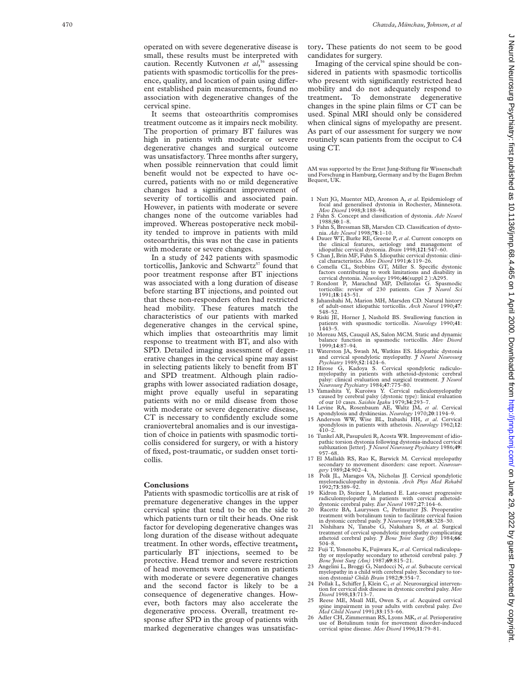operated on with severe degenerative disease is small, these results must be interpreted with caution. Recently Kutvonen et al,<sup>56</sup> assessing patients with spasmodic torticollis for the presence, quality, and location of pain using different established pain measurements, found no association with degenerative changes of the It seems that osteoarthritis compromises

treatment outcome as it impairs neck mobility. The proportion of primary BT failures was high in patients with moderate or severe degenerative changes and surgical outcome was unsatisfactory. Three months after surgery, when possible reinnervation that could limit benefit would not be expected to have occurred, patients with no or mild degenerative changes had a significant improvement of severity of torticollis and associated pain. However, in patients with moderate or severe changes none of the outcome variables had improved. Whereas postoperative neck mobility tended to improve in patients with mild osteoarthritis, this was not the case in patients with moderate or severe changes.

cervical spine.

In a study of 242 patients with spasmodic torticollis, Jankovic and Schwartz<sup>57</sup> found that poor treatment response after BT injections was associated with a long duration of disease before starting BT injections, and pointed out that these non-responders often had restricted head mobility. These features match the characteristics of our patients with marked degenerative changes in the cervical spine, which implies that osteoarthritis may limit response to treatment with BT, and also with SPD. Detailed imaging assessment of degenerative changes in the cervical spine may assist in selecting patients likely to benefit from BT and SPD treatment. Although plain radiographs with lower associated radiation dosage, might prove equally useful in separating patients with no or mild disease from those with moderate or severe degenerative disease, CT is necessary to confidently exclude some craniovertebral anomalies and is our investigation of choice in patients with spasmodic torticollis considered for surgery, or with a history of fixed, post-traumatic, or sudden onset torticollis.

#### **Conclusions**

Patients with spasmodic torticollis are at risk of premature degenerative changes in the upper cervical spine that tend to be on the side to which patients turn or tilt their heads. One risk factor for developing degenerative changes was long duration of the disease without adequate treatment. In other words, effective treatment, particularly BT injections, seemed to be protective. Head tremor and severe restriction of head movements were common in patients with moderate or severe degenerative changes and the second factor is likely to be a consequence of degenerative changes. However, both factors may also accelerate the degenerative process. Overall, treatment response after SPD in the group of patients with marked degenerative changes was unsatisfac-

tory **.** These patients do not seem to be good candidates for surgery.

Imaging of the cervical spine should be considered in patients with spasmodic torticollis who present with significantly restricted head mobility and do not adequately respond to treatment **.** To demonstrate degenerative changes in the spine plain films or CT can be used. Spinal MRI should only be considered when clinical signs of myelopathy are present. As part of our assessment for surgery we now routinely scan patients from the occiput to C4 using CT.

AM was supported by the Ernst Jung-Stiftung für Wissenschaft und Forschung in Hamburg, Germany and by the Eugen Brehm Bequest, UK.

- 1 Nutt JG, Muenter MD, Aronson A, *et al*. Epidemiology of focal and generalised dystonia in Rochester, Minnesota. *Mov Disord* 1998; **3**:188–94.
- 2 Fahn S. Concept and classification of dystonia. *Adv Neurol* 1988;**50**:1–8.
- 3 Fahn S, Bressman SB, Marsden CD. Classification of dystonia. *Adv Neurol* 1998;**78**:1–10.
- 4 Dauer WT, Burke RE, Greene P, *et al*. Current concepts on the clinical features, aetiology and management of idiopathic cervical dystonia. *Brain* 1998;**121**:547–60.
- 5 Chan J, Brin MF, Fahn S. Idiopathic cervical dystonia: clini-cal characteristics. *Mov Disord* 1991;**6**:119–26.
- 6 Comella CL, Stebbins GT, Miller S. Specific dystonic factors contributing to work limitations and disability in
- cervical dystonia. *Neurology* 1996;**46**(suppl 2 ):A295. 7 Rondont P, Marachnd MP, Dellatolas G. Spasmodic torticollis: review of 230 patients. *Can J Neurol Sci* 1991;**18**:143–51.
- 8 Jahanshahi M, Marion MH, Marsden CD. Natural history of adult-onset idiopathic torticollis. *Arch Neurol* 1990;**47** : 548–52.
- 9 Riski JE, Horner J, Nashold BS. Swallowing function in patients with spasmodic torticollis. *Neurology* 1990;**41** : 1443–5.
- 10 Moreau MS, Cauquil AS, Salon MCM. Static and dynamic balance function in spasmodic torticollis. *Mov Disord* 1999;**14**:87–94.
- 11 Waterston JA, Swash M, Watkins ES. Idiopathic dystonia and cervical spondylotic myelopathy. *J Neurol Neurosurg Psychiatry* 1989;**52**:1424–6.
- 12 Hirose G, Kadoya S. Cervical spondylotic radiculo-myelopathy in patients with athetoid-dystonic cerebral palsy: clinical evaluation and surgical treatment. *J Neurol Neurosurg Psychiatry* 1984;**47**:775–80.
- 13 Yamashita Y, Kuroiwa Y. Cervical radiculomyelopathy caused by cerebral palsy (dystonic type): linical evaluation of our 10 cases. *Saishin Igaku* 1979;**34**:293–7.
- 
- 14 Levine RA, Rosenbaum AE, Waltz JM, *et al*. Cervical spondylosis and dyskinesias. *Neurology* 1970;**20**:1194–9. 15 Anderson WW, Wise BL, Itabashi HH, *et al*. Cervical spondylosis in patients with athetosis. *Neurology* 1962;**12** : 410–2.
- 16 Tunkel AR, Pasupuleti R, Acosta WR. Improvement of idiopathic torsion dystonia following dystonia-induced cervical subluxation [letter]. *J Neurol Neurosurg Psychiatry* 1986;**49** : 957–68.
- 17 El Mallakh RS, Rao K, Barwick M. Cervical myelopathy secondary to movement disorders: case report. *Neurosur- gery* 1989;**24**:902–4.
- 18 Polk JL, Maragos VA, Nicholas JJ. Cervical spondylotic myeloradiculopathy in dystonia. *Arch Phys Med Rehabil* 1992;**73**:389–92.
- 19 Kidron D, Steiner I, Melamed E. Late-onset progressive radiculomyelopathy in patients with cervical athetoid-dystonic cerebral palsy. *Eur Neurol* 1987;**27**:164–6. 20 Racette BA, Lauryssen C, Perlmutter JS. Preoperative
- treatment with botulinum toxin to facilitate cervical fusion
- in dystonic cerebral pasly.  $\hat{J}$  Neurosurg 1998, **88**:328-30.<br>21 Nishihara N, Tanabe G, Nakahara S, *et al.* Surgical treatment of cervical spondylotic myelopathy complicating athetoid cerebral palsy.  $\hat{J}$  *Bone Joi*
- 22 Fuji T, Yonenobu K, Fujiwara K, *et al*. Cervical radiculopathy or myelopathy secondary to athetoid cerebral palsy. *J*
- *Bone Joint Surg (Am)* 1987;69:815–21.<br>
Amgelini L, Broggi G, Nardocci N, *et al.* Subacute cervical<br>
myelopathy in a child with cerebral palsy. Secondary to tor-<br>
sion dystonia? *Childs Brain* 1982;9:354–7.
- 24 Pollak L, Schiffer J, Klein C, et al. Neurosurgical intervention for cervical disk disease in dystonic cerebral palsy. *Mov Disord* 1998;**13**:713–7.
- 25 Reese ME, Msall ME, Owen S, *et al*. Acquired cervical spine impairment in your adults with cerebral palsy. *Dev Med Child Neurol* 1991;**33**:153–66.
- 26 Adler CH, Zimmerman RS, Lyons MK, *et al*. Perioperative use of Botulinum toxin for movement disorder-induced cervical spine disease. *Mov Disord* 1996;**11**:79–81.